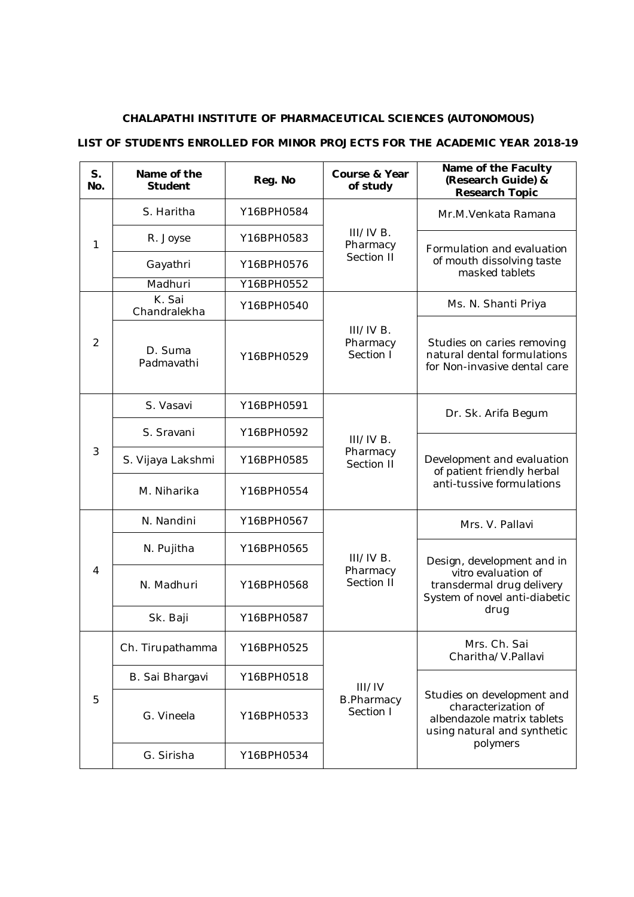## **CHALAPATHI INSTITUTE OF PHARMACEUTICAL SCIENCES (AUTONOMOUS)**

## **LIST OF STUDENTS ENROLLED FOR MINOR PROJECTS FOR THE ACADEMIC YEAR 2018-19**

| $S_{1}$<br>No. | Name of the<br><b>Student</b> | Reg. No    | Course & Year<br>of study                | Name of the Faculty<br>(Research Guide) &<br>Research Topic                                                                |
|----------------|-------------------------------|------------|------------------------------------------|----------------------------------------------------------------------------------------------------------------------------|
| 1              | S. Haritha                    | Y16BPH0584 | $III/IVB$ .<br>Pharmacy<br>Section II    | Mr.M. Venkata Ramana                                                                                                       |
|                | R. Joyse                      | Y16BPH0583 |                                          | Formulation and evaluation<br>of mouth dissolving taste<br>masked tablets                                                  |
|                | Gayathri                      | Y16BPH0576 |                                          |                                                                                                                            |
|                | Madhuri                       | Y16BPH0552 |                                          |                                                                                                                            |
| 2              | K. Sai<br>Chandralekha        | Y16BPH0540 | III/IVB.<br>Pharmacy<br>Section I        | Ms. N. Shanti Priya                                                                                                        |
|                | D. Suma<br>Padmavathi         | Y16BPH0529 |                                          | Studies on caries removing<br>natural dental formulations<br>for Non-invasive dental care                                  |
| 3              | S. Vasavi                     | Y16BPH0591 | III/IVB.<br>Pharmacy<br>Section II       | Dr. Sk. Arifa Begum                                                                                                        |
|                | S. Sravani                    | Y16BPH0592 |                                          | Development and evaluation<br>of patient friendly herbal<br>anti-tussive formulations                                      |
|                | S. Vijaya Lakshmi             | Y16BPH0585 |                                          |                                                                                                                            |
|                | M. Niharika                   | Y16BPH0554 |                                          |                                                                                                                            |
|                | N. Nandini                    | Y16BPH0567 | III/IVB.<br>Pharmacy<br>Section II       | Mrs. V. Pallavi                                                                                                            |
|                | N. Pujitha                    | Y16BPH0565 |                                          | Design, development and in<br>vitro evaluation of<br>transdermal drug delivery<br>System of novel anti-diabetic<br>drug    |
| 4              | N. Madhuri                    | Y16BPH0568 |                                          |                                                                                                                            |
|                | Sk. Baji                      | Y16BPH0587 |                                          |                                                                                                                            |
| 5              | Ch. Tirupathamma              | Y16BPH0525 | III/IV<br><b>B.Pharmacy</b><br>Section I | Mrs. Ch. Sai<br>Charitha/V.Pallavi                                                                                         |
|                | B. Sai Bhargavi               | Y16BPH0518 |                                          | Studies on development and<br>characterization of<br>albendazole matrix tablets<br>using natural and synthetic<br>polymers |
|                | G. Vineela                    | Y16BPH0533 |                                          |                                                                                                                            |
|                | G. Sirisha                    | Y16BPH0534 |                                          |                                                                                                                            |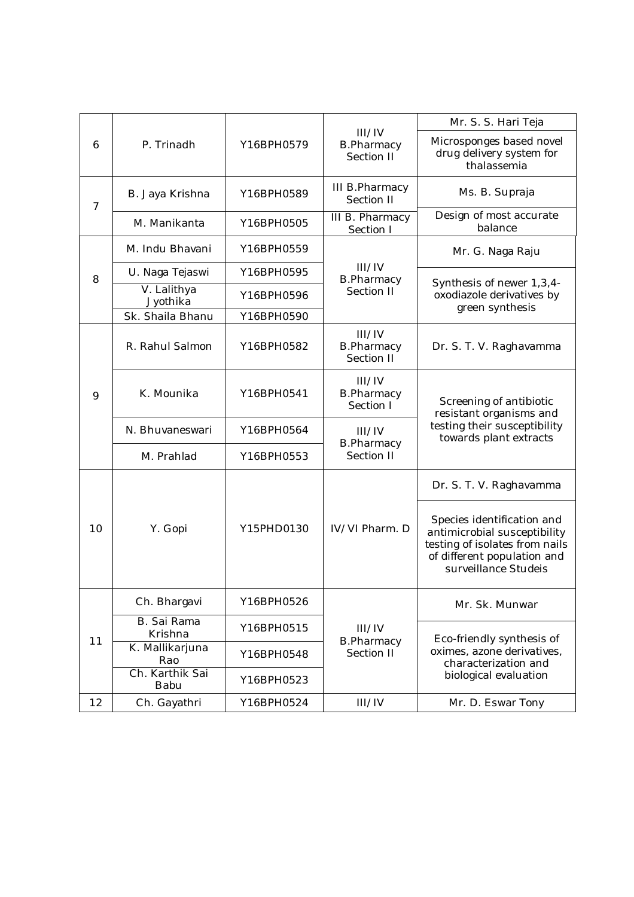|                     |                         |            |                                           | Mr. S. S. Hari Teja                                                                                                                                 |
|---------------------|-------------------------|------------|-------------------------------------------|-----------------------------------------------------------------------------------------------------------------------------------------------------|
| 6<br>$\overline{7}$ | P. Trinadh              | Y16BPH0579 | III/IV<br><b>B.Pharmacy</b><br>Section II | Microsponges based novel<br>drug delivery system for<br>thalassemia                                                                                 |
|                     | B. Jaya Krishna         | Y16BPH0589 | III B. Pharmacy<br>Section II             | Ms. B. Supraja                                                                                                                                      |
| 8                   | M. Manikanta            | Y16BPH0505 | III B. Pharmacy<br>Section I              | Design of most accurate<br>balance                                                                                                                  |
|                     | M. Indu Bhavani         | Y16BPH0559 |                                           | Mr. G. Naga Raju                                                                                                                                    |
|                     | U. Naga Tejaswi         | Y16BPH0595 | III/IV<br><b>B.Pharmacy</b><br>Section II | Synthesis of newer 1,3,4-<br>oxodiazole derivatives by<br>green synthesis                                                                           |
|                     | V. Lalithya<br>Jyothika | Y16BPH0596 |                                           |                                                                                                                                                     |
|                     | Sk. Shaila Bhanu        | Y16BPH0590 |                                           |                                                                                                                                                     |
|                     | R. Rahul Salmon         | Y16BPH0582 | III/IV<br><b>B.Pharmacy</b><br>Section II | Dr. S. T. V. Raghavamma                                                                                                                             |
| 9                   | K. Mounika              | Y16BPH0541 | III/IV<br><b>B.Pharmacy</b><br>Section I  | Screening of antibiotic<br>resistant organisms and<br>testing their susceptibility<br>towards plant extracts                                        |
|                     | N. Bhuvaneswari         | Y16BPH0564 | III/IV                                    |                                                                                                                                                     |
|                     | M. Prahlad              | Y16BPH0553 | <b>B.Pharmacy</b><br>Section II           |                                                                                                                                                     |
|                     |                         |            |                                           | Dr. S. T. V. Raghavamma                                                                                                                             |
| 10<br>11            | Y. Gopi                 | Y15PHD0130 | IV/VI Pharm. D                            | Species identification and<br>antimicrobial susceptibility<br>testing of isolates from nails<br>of different population and<br>surveillance Studeis |
|                     | Ch. Bhargavi            | Y16BPH0526 |                                           | Mr. Sk. Munwar                                                                                                                                      |
|                     | B. Sai Rama<br>Krishna  | Y16BPH0515 | III/IV<br><b>B.Pharmacy</b><br>Section II | Eco-friendly synthesis of<br>oximes, azone derivatives,<br>characterization and                                                                     |
|                     | K. Mallikarjuna<br>Rao  | Y16BPH0548 |                                           |                                                                                                                                                     |
|                     | Ch. Karthik Sai<br>Babu | Y16BPH0523 |                                           | biological evaluation                                                                                                                               |
| 12                  | Ch. Gayathri            | Y16BPH0524 | III/IV                                    | Mr. D. Eswar Tony                                                                                                                                   |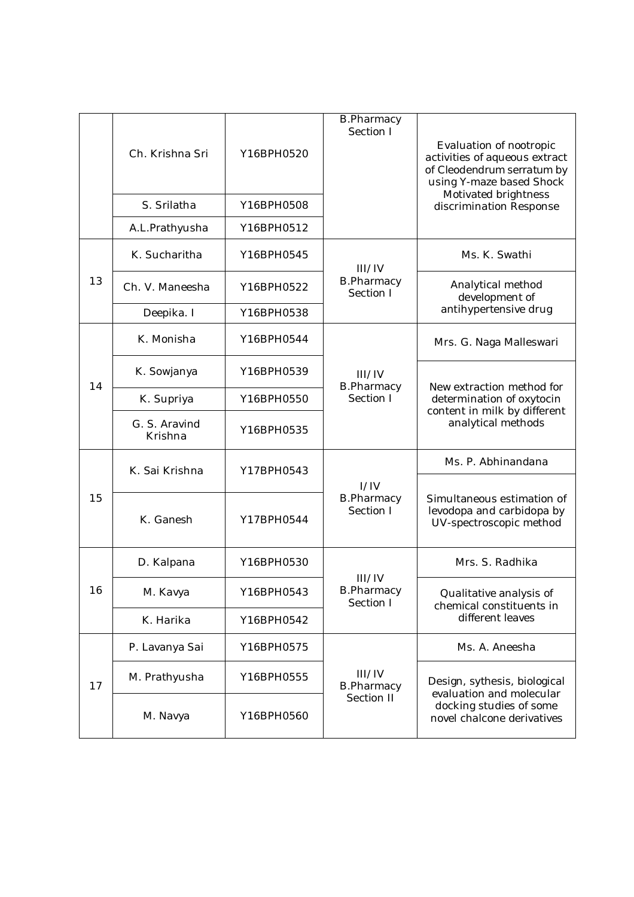|    | Ch. Krishna Sri<br>S. Srilatha | Y16BPH0520<br>Y16BPH0508 | <b>B.Pharmacy</b><br>Section I            | Evaluation of nootropic<br>activities of aqueous extract<br>of Cleodendrum serratum by<br>using Y-maze based Shock<br>Motivated brightness<br>discrimination Response |
|----|--------------------------------|--------------------------|-------------------------------------------|-----------------------------------------------------------------------------------------------------------------------------------------------------------------------|
|    | A.L.Prathyusha                 | Y16BPH0512               |                                           |                                                                                                                                                                       |
| 13 | K. Sucharitha                  | Y16BPH0545               | III/IV<br><b>B.Pharmacy</b><br>Section I  | Ms. K. Swathi                                                                                                                                                         |
|    | Ch. V. Maneesha                | Y16BPH0522               |                                           | Analytical method<br>development of<br>antihypertensive drug                                                                                                          |
|    | Deepika. I                     | Y16BPH0538               |                                           |                                                                                                                                                                       |
| 14 | K. Monisha                     | Y16BPH0544               | III/IV<br><b>B.Pharmacy</b><br>Section I  | Mrs. G. Naga Malleswari                                                                                                                                               |
|    | K. Sowjanya                    | Y16BPH0539               |                                           | New extraction method for<br>determination of oxytocin<br>content in milk by different<br>analytical methods                                                          |
|    | K. Supriya                     | Y16BPH0550               |                                           |                                                                                                                                                                       |
|    | G. S. Aravind<br>Krishna       | Y16BPH0535               |                                           |                                                                                                                                                                       |
| 15 | K. Sai Krishna                 | Y17BPH0543               | I/IV<br><b>B.Pharmacy</b><br>Section I    | Ms. P. Abhinandana                                                                                                                                                    |
|    | K. Ganesh                      | Y17BPH0544               |                                           | Simultaneous estimation of<br>levodopa and carbidopa by<br>UV-spectroscopic method                                                                                    |
| 16 | D. Kalpana                     | Y16BPH0530               | III/IV<br><b>B.Pharmacy</b><br>Section I  | Mrs. S. Radhika                                                                                                                                                       |
|    | M. Kavya                       | Y16BPH0543               |                                           | Qualitative analysis of<br>chemical constituents in                                                                                                                   |
|    | K. Harika                      | Y16BPH0542               |                                           | different leaves                                                                                                                                                      |
| 17 | P. Lavanya Sai                 | Y16BPH0575               | III/IV<br><b>B.Pharmacy</b><br>Section II | Ms. A. Aneesha                                                                                                                                                        |
|    | M. Prathyusha                  | Y16BPH0555               |                                           | Design, sythesis, biological<br>evaluation and molecular<br>docking studies of some<br>novel chalcone derivatives                                                     |
|    | M. Navya                       | Y16BPH0560               |                                           |                                                                                                                                                                       |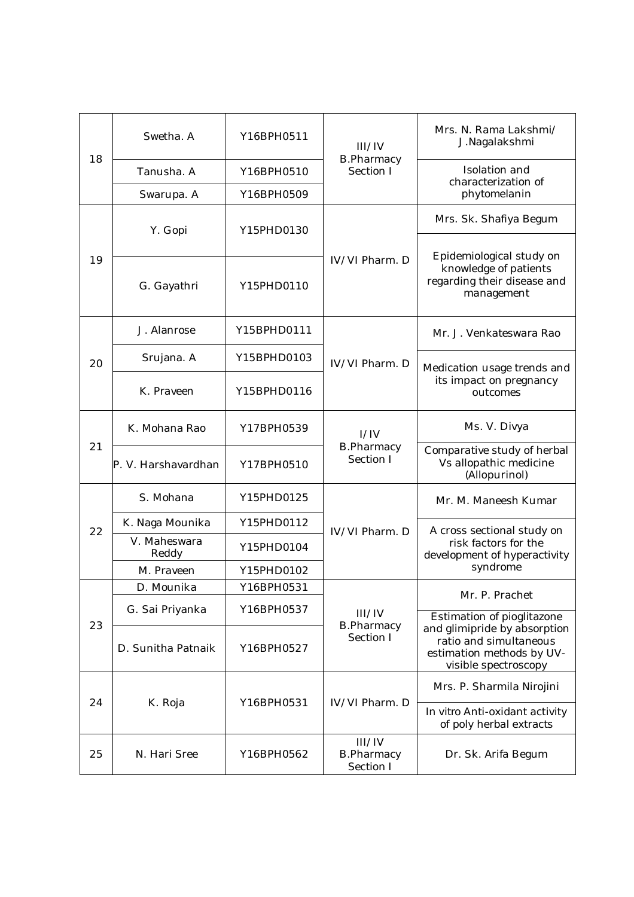| 18 | Swetha. A             | Y16BPH0511  | III/IV<br><b>B.Pharmacy</b><br>Section I | Mrs. N. Rama Lakshmi/<br>J.Nagalakshmi                                                                      |
|----|-----------------------|-------------|------------------------------------------|-------------------------------------------------------------------------------------------------------------|
|    | Tanusha. A            | Y16BPH0510  |                                          | Isolation and<br>characterization of<br>phytomelanin                                                        |
|    | Swarupa. A            | Y16BPH0509  |                                          |                                                                                                             |
|    | Y. Gopi               | Y15PHD0130  | IV/VI Pharm. D<br>IV/VI Pharm. D         | Mrs. Sk. Shafiya Begum                                                                                      |
|    |                       |             |                                          | Epidemiological study on<br>knowledge of patients<br>regarding their disease and<br>management              |
| 19 | G. Gayathri           | Y15PHD0110  |                                          |                                                                                                             |
|    | J. Alanrose           | Y15BPHD0111 |                                          | Mr. J. Venkateswara Rao                                                                                     |
| 20 | Srujana. A            | Y15BPHD0103 |                                          | Medication usage trends and<br>its impact on pregnancy<br>outcomes                                          |
|    | K. Praveen            | Y15BPHD0116 |                                          |                                                                                                             |
|    | K. Mohana Rao         | Y17BPH0539  | I/IV<br><b>B.Pharmacy</b><br>Section I   | Ms. V. Divya                                                                                                |
| 21 | P. V. Harshavardhan   | Y17BPH0510  |                                          | Comparative study of herbal<br>Vs allopathic medicine<br>(Allopurinol)                                      |
|    | S. Mohana             | Y15PHD0125  | IV/VI Pharm. D                           | Mr. M. Maneesh Kumar                                                                                        |
| 22 | K. Naga Mounika       | Y15PHD0112  |                                          | A cross sectional study on<br>risk factors for the<br>development of hyperactivity<br>syndrome              |
|    | V. Maheswara<br>Reddy | Y15PHD0104  |                                          |                                                                                                             |
|    | M. Praveen            | Y15PHD0102  |                                          |                                                                                                             |
|    | D. Mounika            | Y16BPH0531  | III/IV<br><b>B.Pharmacy</b><br>Section I | Mr. P. Prachet                                                                                              |
|    | G. Sai Priyanka       | Y16BPH0537  |                                          | Estimation of pioglitazone                                                                                  |
| 23 | D. Sunitha Patnaik    | Y16BPH0527  |                                          | and glimipride by absorption<br>ratio and simultaneous<br>estimation methods by UV-<br>visible spectroscopy |
| 24 | K. Roja               | Y16BPH0531  | IV/VI Pharm. D                           | Mrs. P. Sharmila Nirojini                                                                                   |
|    |                       |             |                                          | In vitro Anti-oxidant activity<br>of poly herbal extracts                                                   |
| 25 | N. Hari Sree          | Y16BPH0562  | III/IV<br><b>B.Pharmacy</b><br>Section I | Dr. Sk. Arifa Begum                                                                                         |